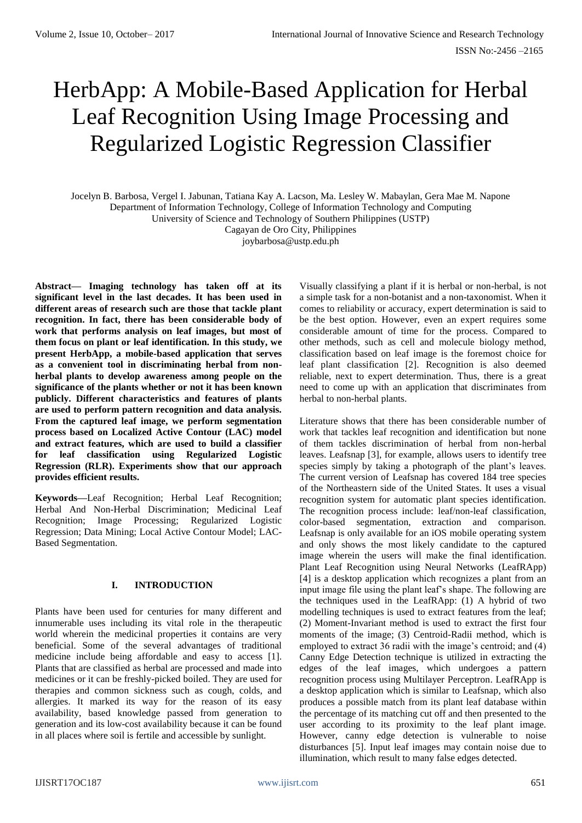# HerbApp: A Mobile-Based Application for Herbal Leaf Recognition Using Image Processing and Regularized Logistic Regression Classifier

Jocelyn B. Barbosa, Vergel I. Jabunan, Tatiana Kay A. Lacson, Ma. Lesley W. Mabaylan, Gera Mae M. Napone Department of Information Technology, College of Information Technology and Computing University of Science and Technology of Southern Philippines (USTP)

Cagayan de Oro City, Philippines joybarbosa@ustp.edu.ph

**Abstract— Imaging technology has taken off at its significant level in the last decades. It has been used in different areas of research such are those that tackle plant recognition. In fact, there has been considerable body of work that performs analysis on leaf images, but most of them focus on plant or leaf identification. In this study, we present HerbApp, a mobile-based application that serves as a convenient tool in discriminating herbal from nonherbal plants to develop awareness among people on the significance of the plants whether or not it has been known publicly. Different characteristics and features of plants are used to perform pattern recognition and data analysis. From the captured leaf image, we perform segmentation process based on Localized Active Contour (LAC) model and extract features, which are used to build a classifier for leaf classification using Regularized Logistic Regression (RLR). Experiments show that our approach provides efficient results.**

**Keywords—**Leaf Recognition; Herbal Leaf Recognition; Herbal And Non-Herbal Discrimination; Medicinal Leaf Recognition; Image Processing; Regularized Logistic Regression; Data Mining; Local Active Contour Model; LAC-Based Segmentation.

### **I. INTRODUCTION**

Plants have been used for centuries for many different and innumerable uses including its vital role in the therapeutic world wherein the medicinal properties it contains are very beneficial. Some of the several advantages of traditional medicine include being affordable and easy to access [1]. Plants that are classified as herbal are processed and made into medicines or it can be freshly-picked boiled. They are used for therapies and common sickness such as cough, colds, and allergies. It marked its way for the reason of its easy availability, based knowledge passed from generation to generation and its low-cost availability because it can be found in all places where soil is fertile and accessible by sunlight.

Visually classifying a plant if it is herbal or non-herbal, is not a simple task for a non-botanist and a non-taxonomist. When it comes to reliability or accuracy, expert determination is said to be the best option. However, even an expert requires some considerable amount of time for the process. Compared to other methods, such as cell and molecule biology method, classification based on leaf image is the foremost choice for leaf plant classification [2]. Recognition is also deemed reliable, next to expert determination. Thus, there is a great need to come up with an application that discriminates from herbal to non-herbal plants.

Literature shows that there has been considerable number of work that tackles leaf recognition and identification but none of them tackles discrimination of herbal from non-herbal leaves. Leafsnap [3], for example, allows users to identify tree species simply by taking a photograph of the plant's leaves. The current version of Leafsnap has covered 184 tree species of the Northeastern side of the United States. It uses a visual recognition system for automatic plant species identification. The recognition process include: leaf/non-leaf classification, color-based segmentation, extraction and comparison. Leafsnap is only available for an iOS mobile operating system and only shows the most likely candidate to the captured image wherein the users will make the final identification. Plant Leaf Recognition using Neural Networks (LeafRApp) [4] is a desktop application which recognizes a plant from an input image file using the plant leaf's shape. The following are the techniques used in the LeafRApp: (1) A hybrid of two modelling techniques is used to extract features from the leaf; (2) Moment-Invariant method is used to extract the first four moments of the image; (3) Centroid-Radii method, which is employed to extract 36 radii with the image's centroid; and (4) Canny Edge Detection technique is utilized in extracting the edges of the leaf images, which undergoes a pattern recognition process using Multilayer Perceptron. LeafRApp is a desktop application which is similar to Leafsnap, which also produces a possible match from its plant leaf database within the percentage of its matching cut off and then presented to the user according to its proximity to the leaf plant image. However, canny edge detection is vulnerable to noise disturbances [5]. Input leaf images may contain noise due to illumination, which result to many false edges detected.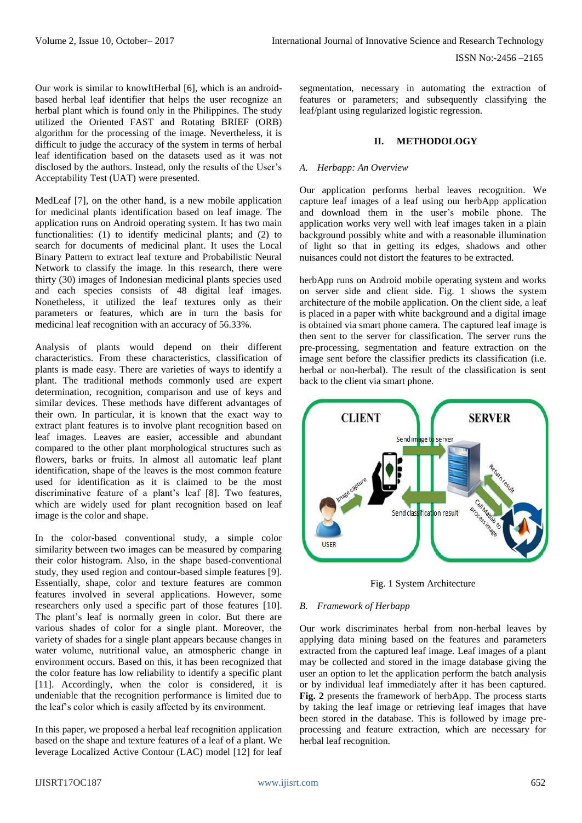Our work is similar to knowItHerbal [6], which is an androidbased herbal leaf identifier that helps the user recognize an herbal plant which is found only in the Philippines. The study utilized the Oriented FAST and Rotating BRIEF (ORB) algorithm for the processing of the image. Nevertheless, it is difficult to judge the accuracy of the system in terms of herbal leaf identification based on the datasets used as it was not disclosed by the authors. Instead, only the results of the User's Acceptability Test (UAT) were presented.

MedLeaf [7], on the other hand, is a new mobile application for medicinal plants identification based on leaf image. The application runs on Android operating system. It has two main functionalities: (1) to identify medicinal plants; and (2) to search for documents of medicinal plant. It uses the Local Binary Pattern to extract leaf texture and Probabilistic Neural Network to classify the image. In this research, there were thirty (30) images of Indonesian medicinal plants species used and each species consists of 48 digital leaf images. Nonetheless, it utilized the leaf textures only as their parameters or features, which are in turn the basis for medicinal leaf recognition with an accuracy of 56.33%.

Analysis of plants would depend on their different characteristics. From these characteristics, classification of plants is made easy. There are varieties of ways to identify a plant. The traditional methods commonly used are expert determination, recognition, comparison and use of keys and similar devices. These methods have different advantages of their own. In particular, it is known that the exact way to extract plant features is to involve plant recognition based on leaf images. Leaves are easier, accessible and abundant compared to the other plant morphological structures such as flowers, barks or fruits. In almost all automatic leaf plant identification, shape of the leaves is the most common feature used for identification as it is claimed to be the most discriminative feature of a plant's leaf [8]. Two features, which are widely used for plant recognition based on leaf image is the color and shape.

In the color-based conventional study, a simple color similarity between two images can be measured by comparing their color histogram. Also, in the shape based-conventional study, they used region and contour-based simple features [9]. Essentially, shape, color and texture features are common features involved in several applications. However, some researchers only used a specific part of those features [10]. The plant's leaf is normally green in color. But there are various shades of color for a single plant. Moreover, the variety of shades for a single plant appears because changes in water volume, nutritional value, an atmospheric change in environment occurs. Based on this, it has been recognized that the color feature has low reliability to identify a specific plant [11]. Accordingly, when the color is considered, it is undeniable that the recognition performance is limited due to the leaf's color which is easily affected by its environment.

In this paper, we proposed a herbal leaf recognition application based on the shape and texture features of a leaf of a plant. We leverage Localized Active Contour (LAC) model [12] for leaf segmentation, necessary in automating the extraction of features or parameters; and subsequently classifying the leaf/plant using regularized logistic regression.

# **II. METHODOLOGY**

## *A. Herbapp: An Overview*

Our application performs herbal leaves recognition. We capture leaf images of a leaf using our herbApp application and download them in the user's mobile phone. The application works very well with leaf images taken in a plain background possibly white and with a reasonable illumination of light so that in getting its edges, shadows and other nuisances could not distort the features to be extracted.

herbApp runs on Android mobile operating system and works on server side and client side. Fig. 1 shows the system architecture of the mobile application. On the client side, a leaf is placed in a paper with white background and a digital image is obtained via smart phone camera. The captured leaf image is then sent to the server for classification. The server runs the pre-processing, segmentation and feature extraction on the image sent before the classifier predicts its classification (i.e. herbal or non-herbal). The result of the classification is sent back to the client via smart phone.



Fig. 1 System Architecture

### *B. Framework of Herbapp*

Our work discriminates herbal from non-herbal leaves by applying data mining based on the features and parameters extracted from the captured leaf image. Leaf images of a plant may be collected and stored in the image database giving the user an option to let the application perform the batch analysis or by individual leaf immediately after it has been captured. **Fig. 2** presents the framework of herbApp. The process starts by taking the leaf image or retrieving leaf images that have been stored in the database. This is followed by image preprocessing and feature extraction, which are necessary for herbal leaf recognition.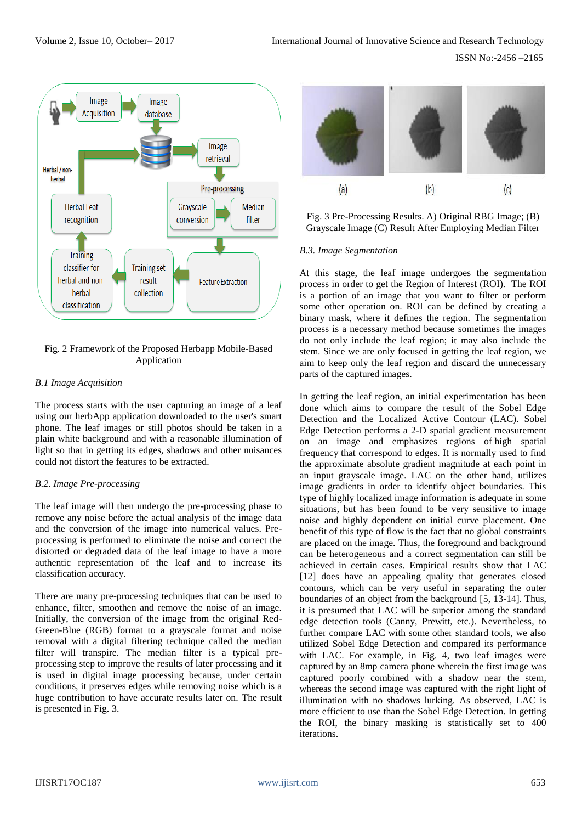

## Fig. 2 Framework of the Proposed Herbapp Mobile-Based Application

## *B.1 Image Acquisition*

The process starts with the user capturing an image of a leaf using our herbApp application downloaded to the user's smart phone. The leaf images or still photos should be taken in a plain white background and with a reasonable illumination of light so that in getting its edges, shadows and other nuisances could not distort the features to be extracted.

# *B.2. Image Pre-processing*

The leaf image will then undergo the pre-processing phase to remove any noise before the actual analysis of the image data and the conversion of the image into numerical values. Preprocessing is performed to eliminate the noise and correct the distorted or degraded data of the leaf image to have a more authentic representation of the leaf and to increase its classification accuracy.

There are many pre-processing techniques that can be used to enhance, filter, smoothen and remove the noise of an image. Initially, the conversion of the image from the original Red-Green-Blue (RGB) format to a grayscale format and noise removal with a digital filtering technique called the median filter will transpire. The median filter is a typical preprocessing step to improve the results of later processing and it is used in digital image processing because, under certain conditions, it preserves edges while removing noise which is a huge contribution to have accurate results later on. The result is presented in Fig. 3.



Fig. 3 Pre-Processing Results. A) Original RBG Image; (B) Grayscale Image (C) Result After Employing Median Filter

## *B.3. Image Segmentation*

At this stage, the leaf image undergoes the segmentation process in order to get the Region of Interest (ROI). The ROI is a portion of an image that you want to filter or perform some other operation on. ROI can be defined by creating a binary mask, where it defines the region. The segmentation process is a necessary method because sometimes the images do not only include the leaf region; it may also include the stem. Since we are only focused in getting the leaf region, we aim to keep only the leaf region and discard the unnecessary parts of the captured images.

In getting the leaf region, an initial experimentation has been done which aims to compare the result of the Sobel Edge Detection and the Localized Active Contour (LAC). Sobel Edge Detection performs a 2-D spatial gradient measurement on an image and emphasizes regions of high spatial frequency that correspond to edges. It is normally used to find the approximate absolute gradient magnitude at each point in an input grayscale image. LAC on the other hand, utilizes image gradients in order to identify object boundaries. This type of highly localized image information is adequate in some situations, but has been found to be very sensitive to image noise and highly dependent on initial curve placement. One benefit of this type of flow is the fact that no global constraints are placed on the image. Thus, the foreground and background can be heterogeneous and a correct segmentation can still be achieved in certain cases. Empirical results show that LAC [12] does have an appealing quality that generates closed contours, which can be very useful in separating the outer boundaries of an object from the background [5, 13-14]. Thus, it is presumed that LAC will be superior among the standard edge detection tools (Canny, Prewitt, etc.). Nevertheless, to further compare LAC with some other standard tools, we also utilized Sobel Edge Detection and compared its performance with LAC. For example, in Fig. 4, two leaf images were captured by an 8mp camera phone wherein the first image was captured poorly combined with a shadow near the stem, whereas the second image was captured with the right light of illumination with no shadows lurking. As observed, LAC is more efficient to use than the Sobel Edge Detection. In getting the ROI, the binary masking is statistically set to 400 iterations.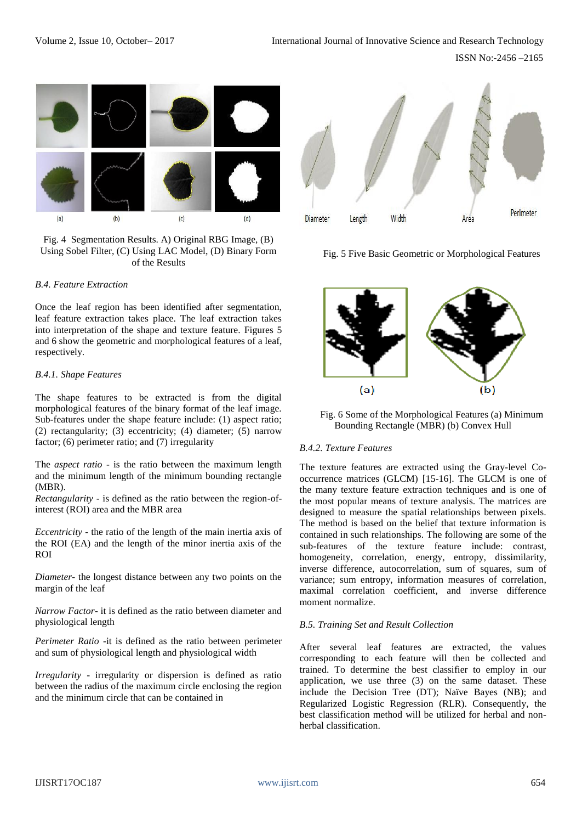

Fig. 4 Segmentation Results. A) Original RBG Image, (B) Using Sobel Filter, (C) Using LAC Model, (D) Binary Form of the Results

### *B.4. Feature Extraction*

Once the leaf region has been identified after segmentation, leaf feature extraction takes place. The leaf extraction takes into interpretation of the shape and texture feature. Figures 5 and 6 show the geometric and morphological features of a leaf, respectively.

#### *B.4.1. Shape Features*

The shape features to be extracted is from the digital morphological features of the binary format of the leaf image. Sub-features under the shape feature include: (1) aspect ratio; (2) rectangularity; (3) eccentricity; (4) diameter; (5) narrow factor; (6) perimeter ratio; and (7) irregularity

The *aspect ratio* - is the ratio between the maximum length and the minimum length of the minimum bounding rectangle (MBR).

*Rectangularity -* is defined as the ratio between the region-ofinterest (ROI) area and the MBR area

*Eccentricity -* the ratio of the length of the main inertia axis of the ROI (EA) and the length of the minor inertia axis of the ROI

*Diameter-* the longest distance between any two points on the margin of the leaf

*Narrow Factor*- it is defined as the ratio between diameter and physiological length

*Perimeter Ratio -*it is defined as the ratio between perimeter and sum of physiological length and physiological width

*Irregularity* - irregularity or dispersion is defined as ratio between the radius of the maximum circle enclosing the region and the minimum circle that can be contained in



Fig. 5 Five Basic Geometric or Morphological Features



Fig. 6 Some of the Morphological Features (a) Minimum Bounding Rectangle (MBR) (b) Convex Hull

### *B.4.2. Texture Features*

The texture features are extracted using the Gray-level Cooccurrence matrices (GLCM) [15-16]. The GLCM is one of the many texture feature extraction techniques and is one of the most popular means of texture analysis. The matrices are designed to measure the spatial relationships between pixels. The method is based on the belief that texture information is contained in such relationships. The following are some of the sub-features of the texture feature include: contrast, homogeneity, correlation, energy, entropy, dissimilarity, inverse difference, autocorrelation, sum of squares, sum of variance; sum entropy, information measures of correlation, maximal correlation coefficient, and inverse difference moment normalize.

#### *B.5. Training Set and Result Collection*

After several leaf features are extracted, the values corresponding to each feature will then be collected and trained. To determine the best classifier to employ in our application, we use three (3) on the same dataset. These include the Decision Tree (DT); Naïve Bayes (NB); and Regularized Logistic Regression (RLR). Consequently, the best classification method will be utilized for herbal and nonherbal classification.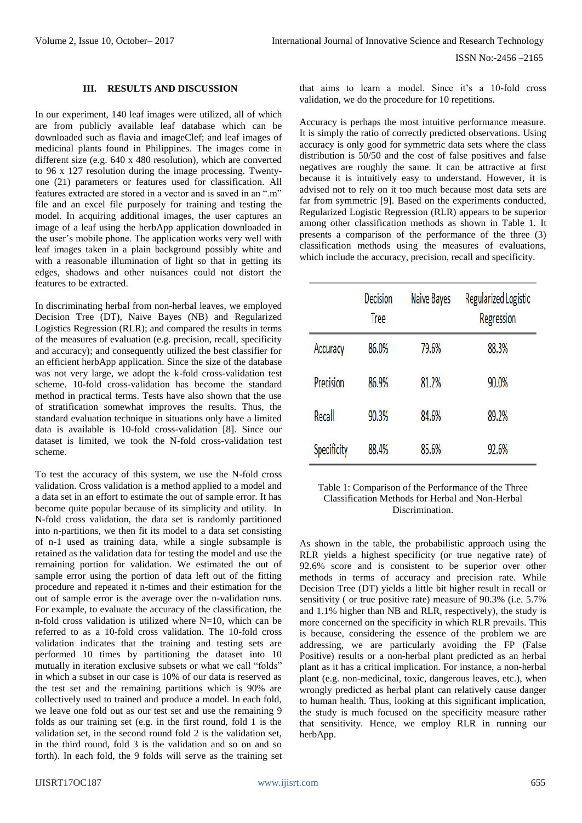#### **III. RESULTS AND DISCUSSION**

In our experiment, 140 leaf images were utilized, all of which are from publicly available leaf database which can be downloaded such as flavia and imageClef; and leaf images of medicinal plants found in Philippines. The images come in different size (e.g. 640 x 480 resolution), which are converted to 96 x 127 resolution during the image processing. Twentyone (21) parameters or features used for classification. All features extracted are stored in a vector and is saved in an ".m" file and an excel file purposely for training and testing the model. In acquiring additional images, the user captures an image of a leaf using the herbApp application downloaded in the user's mobile phone. The application works very well with leaf images taken in a plain background possibly white and with a reasonable illumination of light so that in getting its edges, shadows and other nuisances could not distort the features to be extracted.

In discriminating herbal from non-herbal leaves, we employed Decision Tree (DT), Naive Bayes (NB) and Regularized Logistics Regression (RLR); and compared the results in terms of the measures of evaluation (e.g. precision, recall, specificity and accuracy); and consequently utilized the best classifier for an efficient herbApp application. Since the size of the database was not very large, we adopt the k-fold cross-validation test scheme. 10-fold cross-validation has become the standard method in practical terms. Tests have also shown that the use of stratification somewhat improves the results. Thus, the standard evaluation technique in situations only have a limited data is available is 10-fold cross-validation [8]. Since our dataset is limited, we took the N-fold cross-validation test scheme.

To test the accuracy of this system, we use the N-fold cross validation. Cross validation is a method applied to a model and a data set in an effort to estimate the out of sample error. It has become quite popular because of its simplicity and utility. In N-fold cross validation, the data set is randomly partitioned into n-partitions, we then fit its model to a data set consisting of n-1 used as training data, while a single subsample is retained as the validation data for testing the model and use the remaining portion for validation. We estimated the out of sample error using the portion of data left out of the fitting procedure and repeated it n-times and their estimation for the out of sample error is the average over the n-validation runs. For example, to evaluate the accuracy of the classification, the n-fold cross validation is utilized where  $N=10$ , which can be referred to as a 10-fold cross validation. The 10-fold cross validation indicates that the training and testing sets are performed 10 times by partitioning the dataset into 10 mutually in iteration exclusive subsets or what we call "folds" in which a subset in our case is 10% of our data is reserved as the test set and the remaining partitions which is 90% are collectively used to trained and produce a model. In each fold, we leave one fold out as our test set and use the remaining 9 folds as our training set (e.g. in the first round, fold 1 is the validation set, in the second round fold 2 is the validation set, in the third round, fold 3 is the validation and so on and so forth). In each fold, the 9 folds will serve as the training set

that aims to learn a model. Since it's a 10-fold cross validation, we do the procedure for 10 repetitions.

Accuracy is perhaps the most intuitive performance measure. It is simply the ratio of correctly predicted observations. Using accuracy is only good for symmetric data sets where the class distribution is 50/50 and the cost of false positives and false negatives are roughly the same. It can be attractive at first because it is intuitively easy to understand. However, it is advised not to rely on it too much because most data sets are far from symmetric [9]. Based on the experiments conducted, Regularized Logistic Regression (RLR) appears to be superior among other classification methods as shown in Table 1. It presents a comparison of the performance of the three (3) classification methods using the measures of evaluations, which include the accuracy, precision, recall and specificity.

|             | Decision<br>Tree | Naive Bayes | Regularized Logistic<br>Regression |
|-------------|------------------|-------------|------------------------------------|
| Accuracy    | 86.0%            | 79.6%       | 88.3%                              |
| Precision   | 86.9%            | 81.2%       | 90.0%                              |
| Recall      | 90.3%            | 84.6%       | 89.2%                              |
| Specificity | 88.4%            | 85.6%       | 92.6%                              |

Table 1: Comparison of the Performance of the Three Classification Methods for Herbal and Non-Herbal Discrimination.

As shown in the table, the probabilistic approach using the RLR yields a highest specificity (or true negative rate) of 92.6% score and is consistent to be superior over other methods in terms of accuracy and precision rate. While Decision Tree (DT) yields a little bit higher result in recall or sensitivity ( or true positive rate) measure of 90.3% (i.e. 5.7% and 1.1% higher than NB and RLR, respectively), the study is more concerned on the specificity in which RLR prevails. This is because, considering the essence of the problem we are addressing, we are particularly avoiding the FP (False Positive) results or a non-herbal plant predicted as an herbal plant as it has a critical implication. For instance, a non-herbal plant (e.g. non-medicinal, toxic, dangerous leaves, etc.), when wrongly predicted as herbal plant can relatively cause danger to human health. Thus, looking at this significant implication, the study is much focused on the specificity measure rather that sensitivity. Hence, we employ RLR in running our herbApp.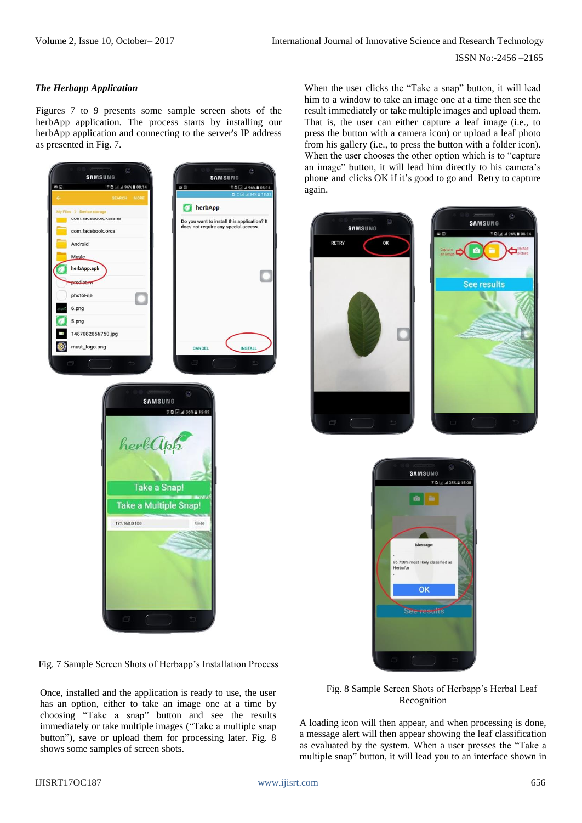ISSN No:-2456 –2165

## *The Herbapp Application*

Figures 7 to 9 presents some sample screen shots of the herbApp application. The process starts by installing our herbApp application and connecting to the server's IP address as presented in Fig. 7.



Fig. 7 Sample Screen Shots of Herbapp's Installation Process

Once, installed and the application is ready to use, the user has an option, either to take an image one at a time by choosing "Take a snap" button and see the results immediately or take multiple images ("Take a multiple snap button"), save or upload them for processing later. Fig. 8 shows some samples of screen shots.

When the user clicks the "Take a snap" button, it will lead him to a window to take an image one at a time then see the result immediately or take multiple images and upload them. That is, the user can either capture a leaf image (i.e., to press the button with a camera icon) or upload a leaf photo from his gallery (i.e., to press the button with a folder icon). When the user chooses the other option which is to "capture an image" button, it will lead him directly to his camera's phone and clicks OK if it's good to go and Retry to capture again.





Fig. 8 Sample Screen Shots of Herbapp's Herbal Leaf Recognition

A loading icon will then appear, and when processing is done, a message alert will then appear showing the leaf classification as evaluated by the system. When a user presses the "Take a multiple snap" button, it will lead you to an interface shown in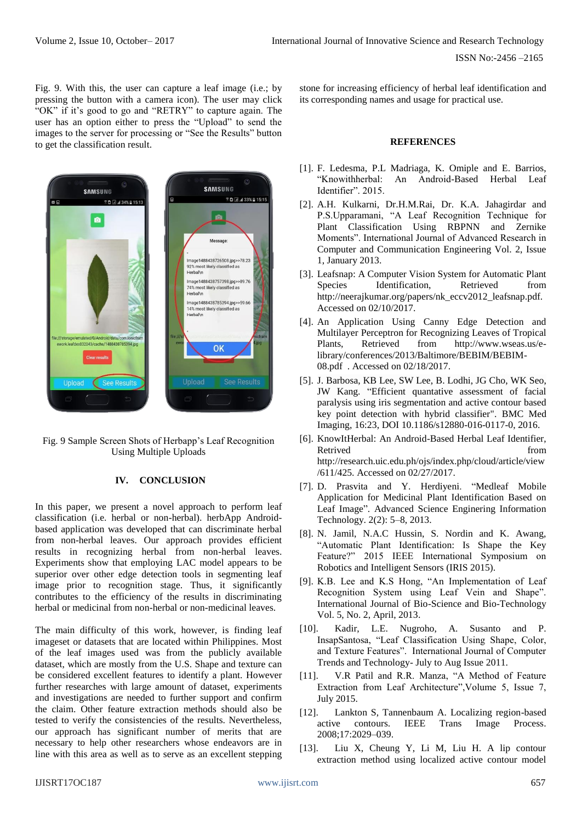Fig. 9. With this, the user can capture a leaf image (i.e.; by pressing the button with a camera icon). The user may click "OK" if it's good to go and "RETRY" to capture again. The user has an option either to press the "Upload" to send the images to the server for processing or "See the Results" button to get the classification result.



Fig. 9 Sample Screen Shots of Herbapp's Leaf Recognition Using Multiple Uploads

## **IV. CONCLUSION**

In this paper, we present a novel approach to perform leaf classification (i.e. herbal or non-herbal). herbApp Androidbased application was developed that can discriminate herbal from non-herbal leaves. Our approach provides efficient results in recognizing herbal from non-herbal leaves. Experiments show that employing LAC model appears to be superior over other edge detection tools in segmenting leaf image prior to recognition stage. Thus, it significantly contributes to the efficiency of the results in discriminating herbal or medicinal from non-herbal or non-medicinal leaves.

The main difficulty of this work, however, is finding leaf imageset or datasets that are located within Philippines. Most of the leaf images used was from the publicly available dataset, which are mostly from the U.S. Shape and texture can be considered excellent features to identify a plant. However further researches with large amount of dataset, experiments and investigations are needed to further support and confirm the claim. Other feature extraction methods should also be tested to verify the consistencies of the results. Nevertheless, our approach has significant number of merits that are necessary to help other researchers whose endeavors are in line with this area as well as to serve as an excellent stepping stone for increasing efficiency of herbal leaf identification and its corresponding names and usage for practical use.

#### **REFERENCES**

- [1]. F. Ledesma, P.L Madriaga, K. Omiple and E. Barrios, "Knowithherbal: An Android-Based Herbal Leaf Identifier". 2015.
- [2]. A.H. Kulkarni, Dr.H.M.Rai, Dr. K.A. Jahagirdar and P.S.Upparamani, "A Leaf Recognition Technique for Plant Classification Using RBPNN and Zernike Moments". International Journal of Advanced Research in Computer and Communication Engineering Vol. 2, Issue 1, January 2013.
- [3]. Leafsnap: A Computer Vision System for Automatic Plant Species Identification, Retrieved from http://neerajkumar.org/papers/nk\_eccv2012\_leafsnap.pdf. [Accessed on 02/10/2017.](http://neerajkumar.org/papers/nk_eccv2012_leafsnap.pdf.%20Accessed%20on%2002/10/2017)
- [4]. An Application Using Canny Edge Detection and Multilayer Perceptron for Recognizing Leaves of Tropical Plants, Retrieved from http://www.wseas.us/elibrary/conferences/2013/Baltimore/BEBIM/BEBIM-08.pdf . Accessed on 02/18/2017.
- [5]. J. Barbosa, KB Lee, SW Lee, B. Lodhi, JG Cho, WK Seo, JW Kang. "Efficient quantative assessment of facial paralysis using iris segmentation and active contour based key point detection with hybrid classifier". BMC Med Imaging, 16:23, DOI 10.1186/s12880-016-0117-0, 2016.
- [6]. KnowItHerbal: An Android-Based Herbal Leaf Identifier, Retrived from the settlement of the settlement of the settlement of the settlement of the settlement of the set [http://research.uic.edu.ph/ojs/index.php/cloud/article/view](http://research.uic.edu.ph/ojs/index.php/cloud/article/view/611/425.%20Accessed%20on%2002/27/2017) [/611/425. Accessed on 02/27/2017.](http://research.uic.edu.ph/ojs/index.php/cloud/article/view/611/425.%20Accessed%20on%2002/27/2017)
- [7]. D. Prasvita and Y. Herdiyeni. "Medleaf Mobile Application for Medicinal Plant Identification Based on Leaf Image". Advanced Science Enginering Information Technology. 2(2): 5–8, 2013.
- [8]. N. Jamil, N.A.C Hussin, S. Nordin and K. Awang, "Automatic Plant Identification: Is Shape the Key Feature?" 2015 IEEE International Symposium on Robotics and Intelligent Sensors (IRIS 2015).
- [9]. K.B. Lee and K.S Hong, "An Implementation of Leaf Recognition System using Leaf Vein and Shape". International Journal of Bio-Science and Bio-Technology Vol. 5, No. 2, April, 2013.
- [10]. Kadir, L.E. Nugroho, A. Susanto and P. InsapSantosa, "Leaf Classification Using Shape, Color, and Texture Features". International Journal of Computer Trends and Technology- July to Aug Issue 2011.
- [11]. V.R Patil and R.R. Manza, "A Method of Feature Extraction from Leaf Architecture",Volume 5, Issue 7, July 2015.
- [12]. Lankton S, Tannenbaum A. Localizing region-based active contours. IEEE Trans Image Process. 2008;17:2029–039.
- [13]. Liu X, Cheung Y, Li M, Liu H. A lip contour extraction method using localized active contour model